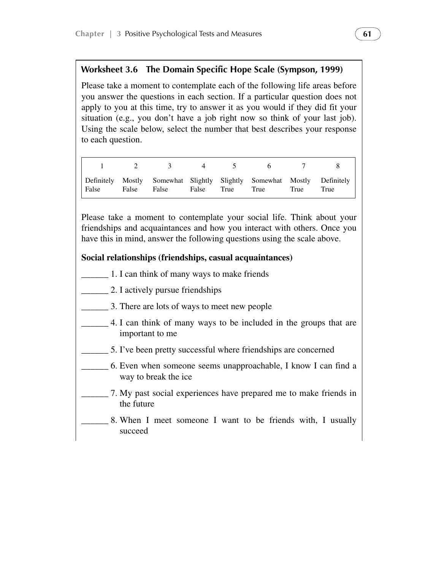### **Worksheet 3.6 The Domain Specific Hope Scale (Sympson, 1999)**

 Please take a moment to contemplate each of the following life areas before you answer the questions in each section. If a particular question does not apply to you at this time, try to answer it as you would if they did fit your situation (e.g., you don't have a job right now so think of your last job). Using the scale below, select the number that best describes your response to each question.

|                   | $\frac{1}{2}$ 3 4 5 |                 | $\begin{array}{ccc} \mathbf{6} & \mathbf{7} & \mathbf{8} \end{array}$ |                                                                                 |
|-------------------|---------------------|-----------------|-----------------------------------------------------------------------|---------------------------------------------------------------------------------|
| False False False |                     | False True True | True                                                                  | Definitely Mostly Somewhat Slightly Slightly Somewhat Mostly Definitely<br>True |

 Please take a moment to contemplate your social life. Think about your friendships and acquaintances and how you interact with others. Once you have this in mind, answer the following questions using the scale above.

#### **Social relationships (friendships, casual acquaintances)**

- \_\_\_\_\_\_ 1. I can think of many ways to make friends
- \_\_\_\_\_\_ 2. I actively pursue friendships
	- \_\_\_\_\_\_ 3. There are lots of ways to meet new people
- 4. I can think of many ways to be included in the groups that are important to me
- \_\_\_\_\_\_ 5. I've been pretty successful where friendships are concerned
- \_\_\_\_\_\_ 6. Even when someone seems unapproachable, I know I can find a way to break the ice
- \_\_\_\_\_\_ 7. My past social experiences have prepared me to make friends in the future
	- 8. When I meet someone I want to be friends with, I usually succeed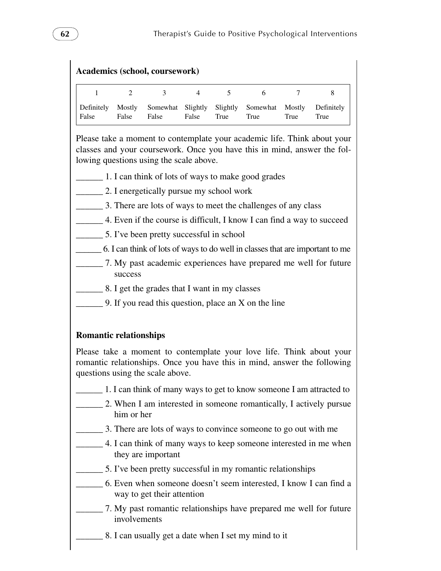| <b>Academics (school, coursework)</b> |                 |                   |                   |                  |                  |                |                    |  |  |
|---------------------------------------|-----------------|-------------------|-------------------|------------------|------------------|----------------|--------------------|--|--|
|                                       |                 | 3                 | 4                 | 5                | 6                |                |                    |  |  |
| Definitely<br>False                   | Mostly<br>False | Somewhat<br>False | Slightly<br>False | Slightly<br>True | Somewhat<br>True | Mostly<br>True | Definitely<br>True |  |  |

Please take a moment to contemplate your academic life. Think about your classes and your coursework. Once you have this in mind, answer the following questions using the scale above.

- \_\_\_\_\_\_ 1. I can think of lots of ways to make good grades
- \_\_\_\_\_\_ 2. I energetically pursue my school work
- \_\_\_\_\_\_ 3. There are lots of ways to meet the challenges of any class
- \_\_\_\_\_\_ 4. Even if the course is difficult, I know I can find a way to succeed
	- \_\_\_\_\_\_ 5. I've been pretty successful in school
- \_\_\_\_\_\_ 6. I can think of lots of ways to do well in classes that are important to me
- \_\_\_\_\_\_ 7. My past academic experiences have prepared me well for future success
	- \_\_\_\_\_\_ 8. I get the grades that I want in my classes
- $\Box$  9. If you read this question, place an X on the line

# **Romantic relationships**

 Please take a moment to contemplate your love life. Think about your romantic relationships. Once you have this in mind, answer the following questions using the scale above.

- \_\_\_\_\_\_ 1. I can think of many ways to get to know someone I am attracted to
- \_\_\_\_\_\_ 2. When I am interested in someone romantically, I actively pursue him or her
	- \_\_\_\_\_\_ 3. There are lots of ways to convince someone to go out with me
	- 4. I can think of many ways to keep someone interested in me when they are important
- \_\_\_\_\_\_ 5. I've been pretty successful in my romantic relationships
- \_\_\_\_\_\_ 6. Even when someone doesn't seem interested, I know I can find a way to get their attention
- \_\_\_\_\_\_ 7. My past romantic relationships have prepared me well for future involvements
	- 8. I can usually get a date when I set my mind to it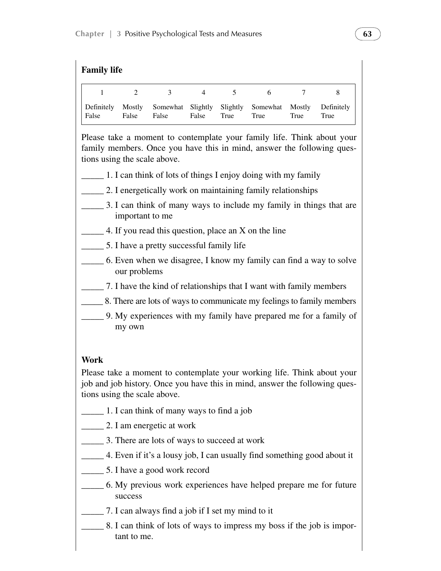| <b>Family life</b>    |                 |       |                |      |                                                    |      |                    |  |  |  |
|-----------------------|-----------------|-------|----------------|------|----------------------------------------------------|------|--------------------|--|--|--|
| $\overline{1}$        | $\overline{2}$  | 3     | $\overline{4}$ | 5    | 6 <sup>6</sup>                                     |      |                    |  |  |  |
| Definitely<br>  False | Mostly<br>False | False | False          | True | Somewhat Slightly Slightly Somewhat Mostly<br>True | True | Definitely<br>True |  |  |  |

 Please take a moment to contemplate your family life. Think about your family members. Once you have this in mind, answer the following questions using the scale above.

- $\Box$  1. I can think of lots of things I enjoy doing with my family
- 2. I energetically work on maintaining family relationships
- 3. I can think of many ways to include my family in things that are important to me
- 4. If you read this question, place an X on the line
- \_\_\_\_\_ 5. I have a pretty successful family life
- \_\_\_\_\_ 6. Even when we disagree, I know my family can find a way to solve our problems
- \_\_\_\_\_ 7. I have the kind of relationships that I want with family members
- \_\_\_\_\_ 8. There are lots of ways to communicate my feelings to family members
- \_\_\_\_\_ 9. My experiences with my family have prepared me for a family of my own

# **Work**

Please take a moment to contemplate your working life. Think about your job and job history. Once you have this in mind, answer the following questions using the scale above.

- \_\_\_\_\_ 1. I can think of many ways to find a job
- \_\_\_\_\_ 2. I am energetic at work
- \_\_\_\_\_ 3. There are lots of ways to succeed at work
- \_\_\_\_\_ 4. Even if it's a lousy job, I can usually find something good about it
- \_\_\_\_\_ 5. I have a good work record
- \_\_\_\_\_ 6. My previous work experiences have helped prepare me for future success
- \_\_\_\_\_ 7. I can always find a job if I set my mind to it
	- \_\_\_\_\_ 8. I can think of lots of ways to impress my boss if the job is important to me.